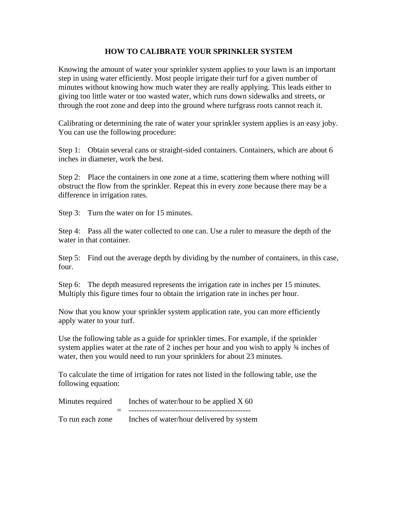## **HOW TO CALIBRATE YOUR SPRINKLER SYSTEM**

Knowing the amount of water your sprinkler system applies to your lawn is an important step in using water efficiently. Most people irrigate their turf for a given number of minutes without knowing how much water they are really applying. This leads either to giving too little water or too wasted water, which runs down sidewalks and streets, or through the root zone and deep into the ground where turfgrass roots cannot reach it.

Calibrating or determining the rate of water your sprinkler system applies is an easy joby. You can use the following procedure:

Step 1: Obtain several cans or straight-sided containers. Containers, which are about 6 inches in diameter, work the best.

Step 2: Place the containers in one zone at a time, scattering them where nothing will obstruct the flow from the sprinkler. Repeat this in every zone because there may be a difference in irrigation rates.

Step 3: Turn the water on for 15 minutes.

Step 4: Pass all the water collected to one can. Use a ruler to measure the depth of the water in that container.

Step 5: Find out the average depth by dividing by the number of containers, in this case, four.

Step 6: The depth measured represents the irrigation rate in inches per 15 minutes. Multiply this figure times four to obtain the irrigation rate in inches per hour.

Now that you know your sprinkler system application rate, you can more efficiently apply water to your turf.

Use the following table as a guide for sprinkler times. For example, if the sprinkler system applies water at the rate of 2 inches per hour and you wish to apply  $\frac{3}{4}$  inches of water, then you would need to run your sprinklers for about 23 minutes.

To calculate the time of irrigation for rates not listed in the following table, use the following equation:

| Minutes required | Inches of water/hour to be applied $X$ 60 |
|------------------|-------------------------------------------|
|                  |                                           |
| To run each zone | Inches of water/hour delivered by system  |